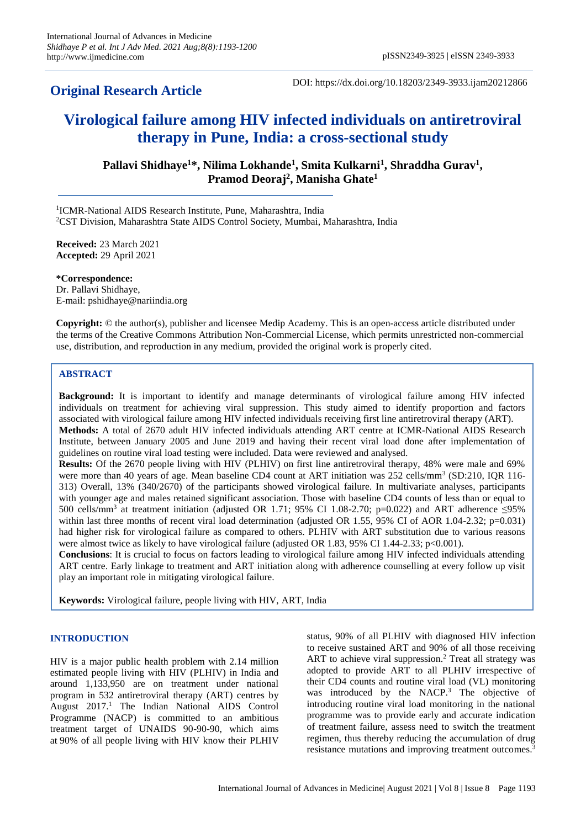## **Original Research Article**

DOI: https://dx.doi.org/10.18203/2349-3933.ijam20212866

# **Virological failure among HIV infected individuals on antiretroviral therapy in Pune, India: a cross-sectional study**

**Pallavi Shidhaye<sup>1</sup>\*, Nilima Lokhande<sup>1</sup> , Smita Kulkarni<sup>1</sup> , Shraddha Gurav<sup>1</sup> , Pramod Deoraj<sup>2</sup> , Manisha Ghate<sup>1</sup>**

<sup>1</sup>ICMR-National AIDS Research Institute, Pune, Maharashtra, India <sup>2</sup>CST Division, Maharashtra State AIDS Control Society, Mumbai, Maharashtra, India

**Received:** 23 March 2021 **Accepted:** 29 April 2021

**\*Correspondence:** Dr. Pallavi Shidhaye, E-mail: pshidhaye@nariindia.org

**Copyright:** © the author(s), publisher and licensee Medip Academy. This is an open-access article distributed under the terms of the Creative Commons Attribution Non-Commercial License, which permits unrestricted non-commercial use, distribution, and reproduction in any medium, provided the original work is properly cited.

## **ABSTRACT**

**Background:** It is important to identify and manage determinants of virological failure among HIV infected individuals on treatment for achieving viral suppression. This study aimed to identify proportion and factors associated with virological failure among HIV infected individuals receiving first line antiretroviral therapy (ART). **Methods:** A total of 2670 adult HIV infected individuals attending ART centre at ICMR-National AIDS Research Institute, between January 2005 and June 2019 and having their recent viral load done after implementation of guidelines on routine viral load testing were included. Data were reviewed and analysed.

**Results:** Of the 2670 people living with HIV (PLHIV) on first line antiretroviral therapy, 48% were male and 69% were more than 40 years of age. Mean baseline CD4 count at ART initiation was 252 cells/mm<sup>3</sup> (SD:210, IQR 116-313) Overall, 13% (340/2670) of the participants showed virological failure. In multivariate analyses, participants with younger age and males retained significant association. Those with baseline CD4 counts of less than or equal to 500 cells/mm<sup>3</sup> at treatment initiation (adjusted OR 1.71; 95% CI 1.08-2.70; p=0.022) and ART adherence  $\leq$ 95% within last three months of recent viral load determination (adjusted OR 1.55, 95% CI of AOR 1.04-2.32; p=0.031) had higher risk for virological failure as compared to others. PLHIV with ART substitution due to various reasons were almost twice as likely to have virological failure (adjusted OR 1.83, 95% CI 1.44-2.33; p<0.001).

**Conclusions**: It is crucial to focus on factors leading to virological failure among HIV infected individuals attending ART centre. Early linkage to treatment and ART initiation along with adherence counselling at every follow up visit play an important role in mitigating virological failure.

**Keywords:** Virological failure, people living with HIV, ART, India

## **INTRODUCTION**

HIV is a major public health problem with 2.14 million estimated people living with HIV (PLHIV) in India and around 1,133,950 are on treatment under national program in 532 antiretroviral therapy (ART) centres by August 2017.<sup>1</sup> The Indian National AIDS Control Programme (NACP) is committed to an ambitious treatment target of UNAIDS 90-90-90, which aims at 90% of all people living with HIV know their PLHIV status, 90% of all PLHIV with diagnosed HIV infection to receive sustained ART and 90% of all those receiving ART to achieve viral suppression. <sup>2</sup> Treat all strategy was adopted to provide ART to all PLHIV irrespective of their CD4 counts and routine viral load (VL) monitoring was introduced by the NACP. <sup>3</sup> The objective of introducing routine viral load monitoring in the national programme was to provide early and accurate indication of treatment failure, assess need to switch the treatment regimen, thus thereby reducing the accumulation of drug resistance mutations and improving treatment outcomes. 3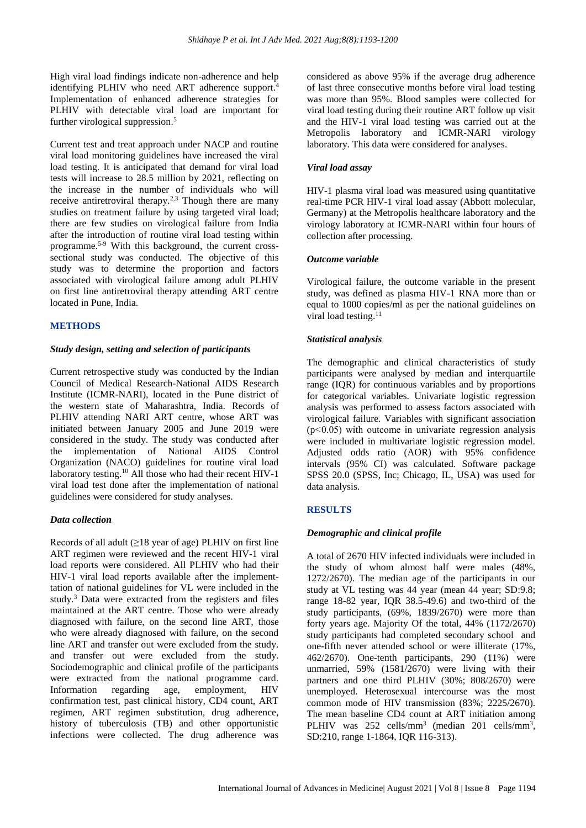High viral load findings indicate non-adherence and help identifying PLHIV who need ART adherence support.<sup>4</sup> Implementation of enhanced adherence strategies for PLHIV with detectable viral load are important for further virological suppression. 5

Current test and treat approach under NACP and routine viral load monitoring guidelines have increased the viral load testing. It is anticipated that demand for viral load tests will increase to 28.5 million by 2021, reflecting on the increase in the number of individuals who will receive antiretroviral therapy.<sup>2,3</sup> Though there are many studies on treatment failure by using targeted viral load; there are few studies on virological failure from India after the introduction of routine viral load testing within programme. 5-9 With this background, the current crosssectional study was conducted. The objective of this study was to determine the proportion and factors associated with virological failure among adult PLHIV on first line antiretroviral therapy attending ART centre located in Pune, India.

#### **METHODS**

## *Study design, setting and selection of participants*

Current retrospective study was conducted by the Indian Council of Medical Research-National AIDS Research Institute (ICMR-NARI), located in the Pune district of the western state of Maharashtra, India. Records of PLHIV attending NARI ART centre, whose ART was initiated between January 2005 and June 2019 were considered in the study. The study was conducted after the implementation of National AIDS Control Organization (NACO) guidelines for routine viral load laboratory testing.<sup>10</sup> All those who had their recent HIV-1 viral load test done after the implementation of national guidelines were considered for study analyses.

#### *Data collection*

Records of all adult  $(\geq 18$  year of age) PLHIV on first line ART regimen were reviewed and the recent HIV-1 viral load reports were considered. All PLHIV who had their HIV-1 viral load reports available after the implementtation of national guidelines for VL were included in the study.<sup>3</sup> Data were extracted from the registers and files maintained at the ART centre. Those who were already diagnosed with failure, on the second line ART, those who were already diagnosed with failure, on the second line ART and transfer out were excluded from the study. and transfer out were excluded from the study. Sociodemographic and clinical profile of the participants were extracted from the national programme card. Information regarding age, employment, HIV confirmation test, past clinical history, CD4 count, ART regimen, ART regimen substitution, drug adherence, history of tuberculosis (TB) and other opportunistic infections were collected. The drug adherence was

considered as above 95% if the average drug adherence of last three consecutive months before viral load testing was more than 95%. Blood samples were collected for viral load testing during their routine ART follow up visit and the HIV-1 viral load testing was carried out at the Metropolis laboratory and ICMR-NARI virology laboratory. This data were considered for analyses.

#### *Viral load assay*

HIV-1 plasma viral load was measured using quantitative real-time PCR HIV-1 viral load assay (Abbott molecular, Germany) at the Metropolis healthcare laboratory and the virology laboratory at ICMR-NARI within four hours of collection after processing.

#### *Outcome variable*

Virological failure, the outcome variable in the present study, was defined as plasma HIV-1 RNA more than or equal to 1000 copies/ml as per the national guidelines on viral load testing.<sup>11</sup>

## *Statistical analysis*

The demographic and clinical characteristics of study participants were analysed by median and interquartile range (IQR) for continuous variables and by proportions for categorical variables. Univariate logistic regression analysis was performed to assess factors associated with virological failure. Variables with significant association  $(p<0.05)$  with outcome in univariate regression analysis were included in multivariate logistic regression model. Adjusted odds ratio (AOR) with 95% confidence intervals (95% CI) was calculated. Software package SPSS 20.0 (SPSS, Inc; Chicago, IL, USA) was used for data analysis.

#### **RESULTS**

#### *Demographic and clinical profile*

A total of 2670 HIV infected individuals were included in the study of whom almost half were males (48%, 1272/2670). The median age of the participants in our study at VL testing was 44 year (mean 44 year; SD:9.8; range 18-82 year, IQR 38.5-49.6) and two-third of the study participants, (69%, 1839/2670) were more than forty years age. Majority Of the total, 44% (1172/2670) study participants had completed secondary school and one-fifth never attended school or were illiterate (17%, 462/2670). One-tenth participants, 290 (11%) were unmarried, 59% (1581/2670) were living with their partners and one third PLHIV (30%; 808/2670) were unemployed. Heterosexual intercourse was the most common mode of HIV transmission (83%; 2225/2670). The mean baseline CD4 count at ART initiation among PLHIV was 252 cells/mm<sup>3</sup> (median 201 cells/mm<sup>3</sup>, SD:210, range 1-1864, IQR 116-313).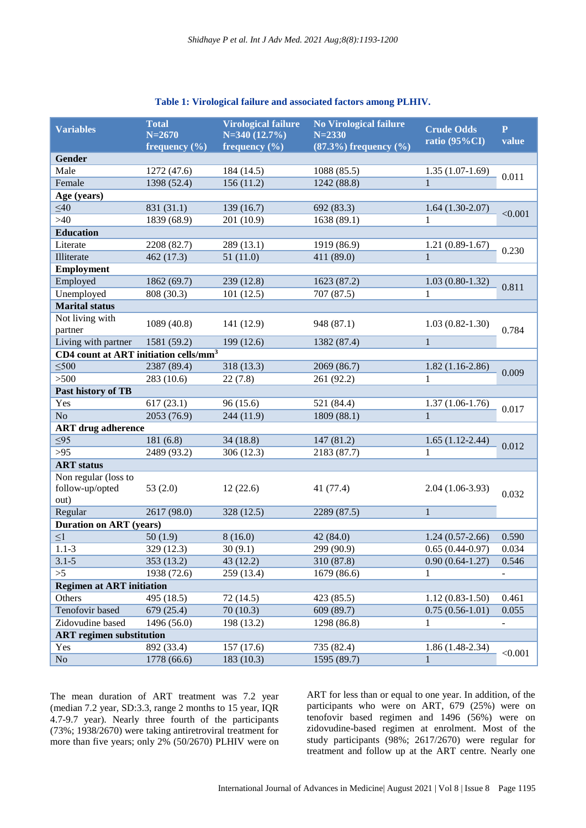| Table 1: Virological failure and associated factors among PLHIV. |  |  |  |  |  |  |
|------------------------------------------------------------------|--|--|--|--|--|--|
|------------------------------------------------------------------|--|--|--|--|--|--|

| <b>Variables</b>                                  | <b>Total</b><br>$N = 2670$<br>frequency $(\% )$ | <b>Virological failure</b><br>$N=340(12.7\%)$<br>frequency $(\% )$ | <b>No Virological failure</b><br>$N = 2330$<br>$(87.3%)$ frequency $(\% )$ | <b>Crude Odds</b><br>ratio (95%CI) | $\mathbf{P}$<br>value |  |  |  |  |
|---------------------------------------------------|-------------------------------------------------|--------------------------------------------------------------------|----------------------------------------------------------------------------|------------------------------------|-----------------------|--|--|--|--|
| Gender                                            |                                                 |                                                                    |                                                                            |                                    |                       |  |  |  |  |
| Male                                              | 1272 (47.6)                                     | 184 (14.5)                                                         | 1088 (85.5)                                                                | $1.35(1.07-1.69)$                  |                       |  |  |  |  |
| Female                                            | 1398 (52.4)                                     | 156(11.2)                                                          | 1242 (88.8)                                                                | $\mathbf{1}$                       | 0.011                 |  |  |  |  |
| Age (years)                                       |                                                 |                                                                    |                                                                            |                                    |                       |  |  |  |  |
| $\leq 40$                                         | 831 (31.1)                                      | 139(16.7)                                                          | 692 (83.3)                                                                 | $1.64(1.30-2.07)$                  | < 0.001               |  |  |  |  |
| $>40$                                             | 1839 (68.9)                                     | 201 (10.9)                                                         | 1638 (89.1)                                                                | $\mathbf{1}$                       |                       |  |  |  |  |
| <b>Education</b>                                  |                                                 |                                                                    |                                                                            |                                    |                       |  |  |  |  |
| Literate                                          | 2208 (82.7)                                     | 289 (13.1)                                                         | 1919 (86.9)                                                                | $1.21(0.89-1.67)$                  | 0.230                 |  |  |  |  |
| Illiterate                                        | 462 (17.3)                                      | 51(11.0)                                                           | 411 (89.0)                                                                 | $\mathbf{1}$                       |                       |  |  |  |  |
| <b>Employment</b>                                 |                                                 |                                                                    |                                                                            |                                    |                       |  |  |  |  |
| Employed                                          | 1862 (69.7)                                     | 239 (12.8)                                                         | 1623 (87.2)                                                                | $1.03(0.80-1.32)$                  | 0.811                 |  |  |  |  |
| Unemployed                                        | 808 (30.3)                                      | 101(12.5)                                                          | 707 (87.5)                                                                 | 1                                  |                       |  |  |  |  |
| <b>Marital status</b>                             |                                                 |                                                                    |                                                                            |                                    |                       |  |  |  |  |
| Not living with<br>partner                        | 1089(40.8)                                      | 141 (12.9)                                                         | 948 (87.1)                                                                 | $1.03(0.82 - 1.30)$                | 0.784                 |  |  |  |  |
| Living with partner                               | 1581 (59.2)                                     | 199 (12.6)                                                         | 1382 (87.4)                                                                | $\mathbf{1}$                       |                       |  |  |  |  |
| CD4 count at ART initiation cells/mm <sup>3</sup> |                                                 |                                                                    |                                                                            |                                    |                       |  |  |  |  |
| $\leq 500$                                        | 2387 (89.4)                                     | 318 (13.3)                                                         | 2069 (86.7)                                                                | $1.82(1.16-2.86)$                  | 0.009                 |  |  |  |  |
| $>500$                                            | 283 (10.6)                                      | 22(7.8)                                                            | 261 (92.2)                                                                 | $\mathbf{1}$                       |                       |  |  |  |  |
| Past history of TB                                |                                                 |                                                                    |                                                                            |                                    |                       |  |  |  |  |
| Yes                                               | 617(23.1)                                       | 96 (15.6)                                                          | 521 (84.4)                                                                 | $1.37(1.06-1.76)$                  | 0.017                 |  |  |  |  |
| N <sub>o</sub>                                    | 2053 (76.9)                                     | 244 (11.9)                                                         | 1809 (88.1)                                                                | $\mathbf{1}$                       |                       |  |  |  |  |
| <b>ART</b> drug adherence                         |                                                 |                                                                    |                                                                            |                                    |                       |  |  |  |  |
| $\leq 95$                                         | 181(6.8)                                        | 34(18.8)                                                           | 147 (81.2)                                                                 | $1.65(1.12-2.44)$                  | 0.012                 |  |  |  |  |
| $>95$                                             | 2489 (93.2)                                     | 306 (12.3)                                                         | 2183 (87.7)                                                                | 1                                  |                       |  |  |  |  |
| <b>ART</b> status                                 |                                                 |                                                                    |                                                                            |                                    |                       |  |  |  |  |
| Non regular (loss to<br>follow-up/opted<br>out)   | 53 $(2.0)$                                      | 12(22.6)                                                           | 41 (77.4)                                                                  | $2.04(1.06-3.93)$                  | 0.032                 |  |  |  |  |
| Regular                                           | 2617 (98.0)                                     | 328 (12.5)                                                         | 2289 (87.5)                                                                | $\mathbf{1}$                       |                       |  |  |  |  |
| <b>Duration on ART (years)</b>                    |                                                 |                                                                    |                                                                            |                                    |                       |  |  |  |  |
| $\leq1$                                           | 50(1.9)                                         | 8(16.0)                                                            | 42 (84.0)                                                                  | $1.24(0.57-2.66)$                  | 0.590                 |  |  |  |  |
| $1.1 - 3$                                         | 329 (12.3)                                      | 30(9.1)                                                            | 299 (90.9)                                                                 | $0.65(0.44-0.97)$                  | 0.034                 |  |  |  |  |
| $3.1 - 5$                                         | 353(13.2)                                       | 43 (12.2)                                                          | 310 (87.8)                                                                 | $0.90(0.64-1.27)$                  | 0.546                 |  |  |  |  |
| >5                                                | 1938 (72.6)                                     | 259 (13.4)                                                         | 1679 (86.6)                                                                | 1                                  |                       |  |  |  |  |
| <b>Regimen at ART initiation</b>                  |                                                 |                                                                    |                                                                            |                                    |                       |  |  |  |  |
| Others                                            | 495 (18.5)                                      | 72(14.5)                                                           | 423 (85.5)                                                                 | $1.12(0.83-1.50)$                  | 0.461                 |  |  |  |  |
| Tenofovir based                                   | 679(25.4)                                       | 70(10.3)                                                           | 609 (89.7)                                                                 | $0.75(0.56-1.01)$                  | 0.055                 |  |  |  |  |
| Zidovudine based                                  | 1496 (56.0)                                     | 198 (13.2)                                                         | 1298 (86.8)                                                                | 1                                  |                       |  |  |  |  |
| <b>ART</b> regimen substitution                   |                                                 |                                                                    |                                                                            |                                    |                       |  |  |  |  |
| Yes                                               | 892 (33.4)                                      | 157 (17.6)                                                         | 735 (82.4)                                                                 | $1.86(1.48-2.34)$                  | < 0.001               |  |  |  |  |
| No                                                | 1778 (66.6)                                     | 183(10.3)                                                          | 1595 (89.7)                                                                | 1                                  |                       |  |  |  |  |

The mean duration of ART treatment was 7.2 year (median 7.2 year, SD:3.3, range 2 months to 15 year, IQR 4.7-9.7 year). Nearly three fourth of the participants (73%; 1938/2670) were taking antiretroviral treatment for more than five years; only 2% (50/2670) PLHIV were on ART for less than or equal to one year. In addition, of the participants who were on ART, 679 (25%) were on tenofovir based regimen and 1496 (56%) were on zidovudine-based regimen at enrolment. Most of the study participants (98%; 2617/2670) were regular for treatment and follow up at the ART centre. Nearly one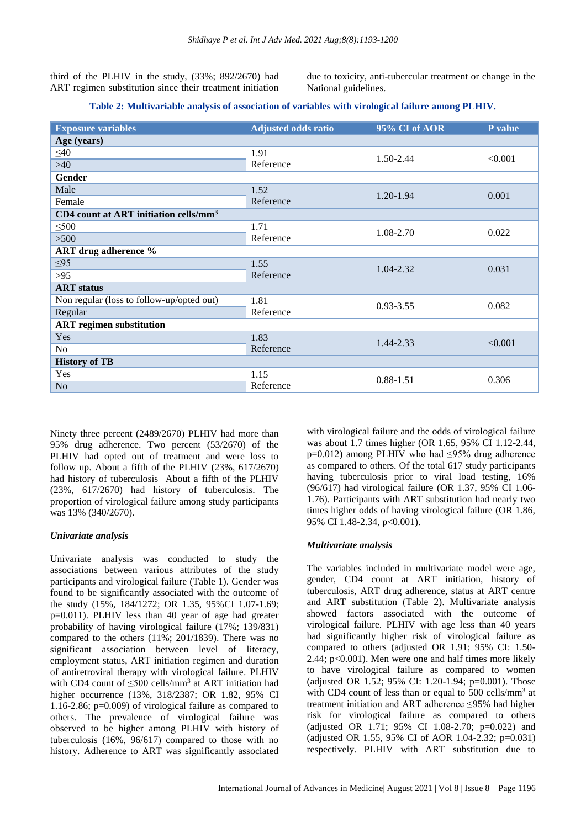third of the PLHIV in the study, (33%; 892/2670) had ART regimen substitution since their treatment initiation due to toxicity, anti-tubercular treatment or change in the National guidelines.

## **Table 2: Multivariable analysis of association of variables with virological failure among PLHIV.**

| <b>Exposure variables</b>                         | <b>Adjusted odds ratio</b> | 95% CI of AOR | P value |  |
|---------------------------------------------------|----------------------------|---------------|---------|--|
| Age (years)                                       |                            |               |         |  |
| $\leq 40$                                         | 1.91                       | 1.50-2.44     | < 0.001 |  |
| $>40$                                             | Reference                  |               |         |  |
| Gender                                            |                            |               |         |  |
| Male                                              | 1.52                       | 1.20-1.94     | 0.001   |  |
| Female                                            | Reference                  |               |         |  |
| CD4 count at ART initiation cells/mm <sup>3</sup> |                            |               |         |  |
| $\leq 500$                                        | 1.71                       | 1.08-2.70     | 0.022   |  |
| >500                                              | Reference                  |               |         |  |
| <b>ART</b> drug adherence %                       |                            |               |         |  |
| $\leq 95$                                         | 1.55                       | 1.04-2.32     | 0.031   |  |
| >95                                               | Reference                  |               |         |  |
| <b>ART</b> status                                 |                            |               |         |  |
| Non regular (loss to follow-up/opted out)         | 1.81                       | $0.93 - 3.55$ | 0.082   |  |
| Regular                                           | Reference                  |               |         |  |
| <b>ART</b> regimen substitution                   |                            |               |         |  |
| Yes                                               | 1.83                       | 1.44-2.33     | < 0.001 |  |
| No                                                | Reference                  |               |         |  |
| <b>History of TB</b>                              |                            |               |         |  |
| Yes                                               | 1.15                       | $0.88 - 1.51$ | 0.306   |  |
| N <sub>o</sub>                                    | Reference                  |               |         |  |

Ninety three percent (2489/2670) PLHIV had more than 95% drug adherence. Two percent (53/2670) of the PLHIV had opted out of treatment and were loss to follow up. About a fifth of the PLHIV (23%, 617/2670) had history of tuberculosis About a fifth of the PLHIV (23%, 617/2670) had history of tuberculosis. The proportion of virological failure among study participants was 13% (340/2670).

## *Univariate analysis*

Univariate analysis was conducted to study the associations between various attributes of the study participants and virological failure (Table 1). Gender was found to be significantly associated with the outcome of the study (15%, 184/1272; OR 1.35, 95%CI 1.07-1.69; p=0.011). PLHIV less than 40 year of age had greater probability of having virological failure (17%; 139/831) compared to the others (11%; 201/1839). There was no significant association between level of literacy, employment status, ART initiation regimen and duration of antiretroviral therapy with virological failure. PLHIV with CD4 count of  $\leq 500$  cells/mm<sup>3</sup> at ART initiation had higher occurrence (13%, 318/2387; OR 1.82, 95% CI 1.16-2.86; p=0.009) of virological failure as compared to others. The prevalence of virological failure was observed to be higher among PLHIV with history of tuberculosis (16%, 96/617) compared to those with no history. Adherence to ART was significantly associated

with virological failure and the odds of virological failure was about 1.7 times higher (OR 1.65, 95% CI 1.12-2.44, p=0.012) among PLHIV who had ≤95% drug adherence as compared to others. Of the total 617 study participants having tuberculosis prior to viral load testing, 16% (96/617) had virological failure (OR 1.37, 95% CI 1.06- 1.76). Participants with ART substitution had nearly two times higher odds of having virological failure (OR 1.86, 95% CI 1.48-2.34, p<0.001).

## *Multivariate analysis*

The variables included in multivariate model were age, gender, CD4 count at ART initiation, history of tuberculosis, ART drug adherence, status at ART centre and ART substitution (Table 2). Multivariate analysis showed factors associated with the outcome of virological failure. PLHIV with age less than 40 years had significantly higher risk of virological failure as compared to others (adjusted OR 1.91; 95% CI: 1.50- 2.44; p<0.001). Men were one and half times more likely to have virological failure as compared to women (adjusted OR 1.52; 95% CI: 1.20-1.94; p=0.001). Those with CD4 count of less than or equal to 500 cells/mm<sup>3</sup> at treatment initiation and ART adherence ≤95% had higher risk for virological failure as compared to others (adjusted OR 1.71; 95% CI 1.08-2.70; p=0.022) and (adjusted OR 1.55, 95% CI of AOR 1.04-2.32; p=0.031) respectively. PLHIV with ART substitution due to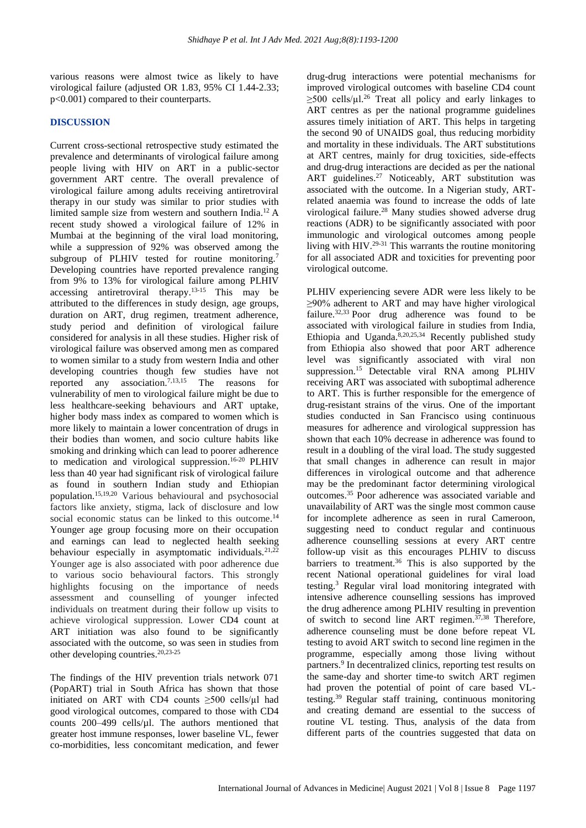various reasons were almost twice as likely to have virological failure (adjusted OR 1.83, 95% CI 1.44-2.33; p<0.001) compared to their counterparts.

## **DISCUSSION**

Current cross-sectional retrospective study estimated the prevalence and determinants of virological failure among people living with HIV on ART in a public-sector government ART centre. The overall prevalence of virological failure among adults receiving antiretroviral therapy in our study was similar to prior studies with limited sample size from western and southern India.<sup>12</sup> A recent study showed a virological failure of 12% in Mumbai at the beginning of the viral load monitoring, while a suppression of 92% was observed among the subgroup of PLHIV tested for routine monitoring.<sup>7</sup> Developing countries have reported prevalence ranging from 9% to 13% for virological failure among PLHIV accessing antiretroviral therapy.<sup>13-15</sup> This may be attributed to the differences in study design, age groups, duration on ART, drug regimen, treatment adherence, study period and definition of virological failure considered for analysis in all these studies. Higher risk of virological failure was observed among men as compared to women similar to a study from western India and other developing countries though few studies have not reported any association.7,13,15 The reasons for vulnerability of men to virological failure might be due to less healthcare-seeking behaviours and ART uptake, higher body mass index as compared to women which is more likely to maintain a lower concentration of drugs in their bodies than women, and socio culture habits like smoking and drinking which can lead to poorer adherence to medication and virological suppression. 16-20 PLHIV less than 40 year had significant risk of virological failure as found in southern Indian study and Ethiopian population.15,19,20 Various behavioural and psychosocial factors like anxiety, stigma, lack of disclosure and low social economic status can be linked to this outcome.<sup>14</sup> Younger age group focusing more on their occupation and earnings can lead to neglected health seeking behaviour especially in asymptomatic individuals.<sup>21,22</sup> Younger age is also associated with poor adherence due to various socio behavioural factors. This strongly highlights focusing on the importance of needs assessment and counselling of younger infected individuals on treatment during their follow up visits to achieve virological suppression. Lower CD4 count at ART initiation was also found to be significantly associated with the outcome, so was seen in studies from other developing countries.20,23-25

The findings of the HIV prevention trials network 071 (PopART) trial in South Africa has shown that those initiated on ART with CD4 counts  $\geq$ 500 cells/ $\mu$ l had good virological outcomes, compared to those with CD4 counts 200–499 cells/µl. The authors mentioned that greater host immune responses, lower baseline VL, fewer co-morbidities, less concomitant medication, and fewer drug-drug interactions were potential mechanisms for improved virological outcomes with baseline CD4 count  $\geq$ 500 cells/ $\mu$ l.<sup>26</sup> Treat all policy and early linkages to ART centres as per the national programme guidelines assures timely initiation of ART. This helps in targeting the second 90 of UNAIDS goal, thus reducing morbidity and mortality in these individuals. The ART substitutions at ART centres, mainly for drug toxicities, side-effects and drug-drug interactions are decided as per the national ART guidelines.<sup>27</sup> Noticeably, ART substitution was associated with the outcome. In a Nigerian study, ARTrelated anaemia was found to increase the odds of late virological failure.<sup>28</sup> Many studies showed adverse drug reactions (ADR) to be significantly associated with poor immunologic and virological outcomes among people living with HIV.<sup>29-31</sup> This warrants the routine monitoring for all associated ADR and toxicities for preventing poor virological outcome.

PLHIV experiencing severe ADR were less likely to be ≥90% adherent to ART and may have higher virological failure.<sup>32,33</sup> Poor drug adherence was found to be associated with virological failure in studies from India, Ethiopia and Uganda. $8,20,25,34$  Recently published study from Ethiopia also showed that poor ART adherence level was significantly associated with viral non suppression.<sup>15</sup> Detectable viral RNA among PLHIV receiving ART was associated with suboptimal adherence to ART. This is further responsible for the emergence of drug-resistant strains of the virus. One of the important studies conducted in San Francisco using continuous measures for adherence and virological suppression has shown that each 10% decrease in adherence was found to result in a doubling of the viral load. The study suggested that small changes in adherence can result in major differences in virological outcome and that adherence may be the predominant factor determining virological outcomes. <sup>35</sup> Poor adherence was associated variable and unavailability of ART was the single most common cause for incomplete adherence as seen in rural Cameroon, suggesting need to conduct regular and continuous adherence counselling sessions at every ART centre follow-up visit as this encourages PLHIV to discuss barriers to treatment.<sup>36</sup> This is also supported by the recent National operational guidelines for viral load testing. <sup>3</sup> Regular viral load monitoring integrated with intensive adherence counselling sessions has improved the drug adherence among PLHIV resulting in prevention of switch to second line ART regimen. 37,38 Therefore, adherence counseling must be done before repeat VL testing to avoid ART switch to second line regimen in the programme, especially among those living without partners.<sup>9</sup> In decentralized clinics, reporting test results on the same-day and shorter time-to switch ART regimen had proven the potential of point of care based VLtesting.<sup>39</sup> Regular staff training, continuous monitoring and creating demand are essential to the success of routine VL testing. Thus, analysis of the data from different parts of the countries suggested that data on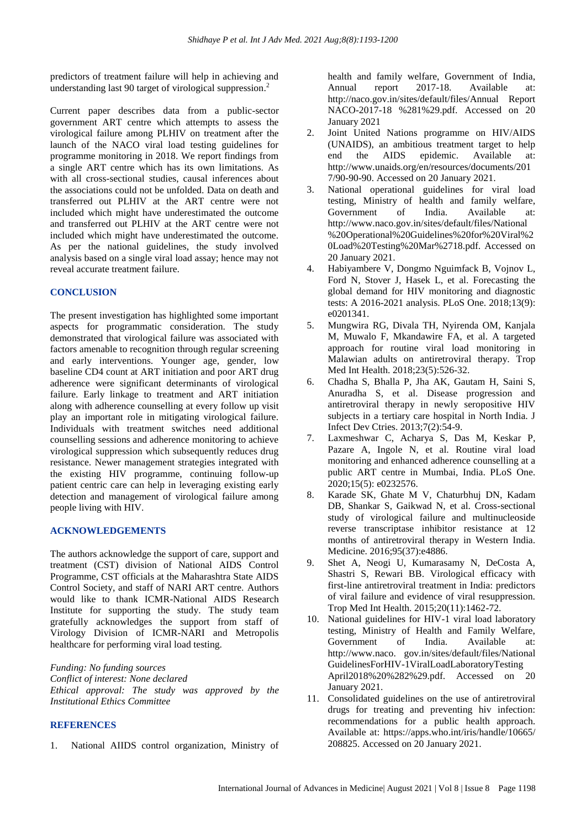predictors of treatment failure will help in achieving and understanding last 90 target of virological suppression. 2

Current paper describes data from a public-sector government ART centre which attempts to assess the virological failure among PLHIV on treatment after the launch of the NACO viral load testing guidelines for programme monitoring in 2018. We report findings from a single ART centre which has its own limitations. As with all cross-sectional studies, causal inferences about the associations could not be unfolded. Data on death and transferred out PLHIV at the ART centre were not included which might have underestimated the outcome and transferred out PLHIV at the ART centre were not included which might have underestimated the outcome. As per the national guidelines, the study involved analysis based on a single viral load assay; hence may not reveal accurate treatment failure.

## **CONCLUSION**

The present investigation has highlighted some important aspects for programmatic consideration. The study demonstrated that virological failure was associated with factors amenable to recognition through regular screening and early interventions. Younger age, gender, low baseline CD4 count at ART initiation and poor ART drug adherence were significant determinants of virological failure. Early linkage to treatment and ART initiation along with adherence counselling at every follow up visit play an important role in mitigating virological failure. Individuals with treatment switches need additional counselling sessions and adherence monitoring to achieve virological suppression which subsequently reduces drug resistance. Newer management strategies integrated with the existing HIV programme, continuing follow-up patient centric care can help in leveraging existing early detection and management of virological failure among people living with HIV.

## **ACKNOWLEDGEMENTS**

The authors acknowledge the support of care, support and treatment (CST) division of National AIDS Control Programme, CST officials at the Maharashtra State AIDS Control Society, and staff of NARI ART centre. Authors would like to thank ICMR-National AIDS Research Institute for supporting the study. The study team gratefully acknowledges the support from staff of Virology Division of ICMR-NARI and Metropolis healthcare for performing viral load testing.

*Funding: No funding sources Conflict of interest: None declared*

*Ethical approval: The study was approved by the Institutional Ethics Committee*

## **REFERENCES**

1. National AIIDS control organization, Ministry of

health and family welfare, Government of India, Annual report 2017-18. Available at: http://naco.gov.in/sites/default/files/Annual Report NACO-2017-18 %281%29.pdf. Accessed on 20 January 2021

- 2. Joint United Nations programme on HIV/AIDS (UNAIDS), an ambitious treatment target to help end the AIDS epidemic. Available at: http://www.unaids.org/en/resources/documents/201 7/90-90-90. Accessed on 20 January 2021.
- 3. National operational guidelines for viral load testing, Ministry of health and family welfare, Government of India. Available at: http://www.naco.gov.in/sites/default/files/National %20Operational%20Guidelines%20for%20Viral%2 0Load%20Testing%20Mar%2718.pdf. Accessed on 20 January 2021.
- 4. Habiyambere V, Dongmo Nguimfack B, Vojnov L, Ford N, Stover J, Hasek L, et al. Forecasting the global demand for HIV monitoring and diagnostic tests: A 2016-2021 analysis. PLoS One. 2018;13(9): e0201341.
- 5. Mungwira RG, Divala TH, Nyirenda OM, Kanjala M, Muwalo F, Mkandawire FA, et al. A targeted approach for routine viral load monitoring in Malawian adults on antiretroviral therapy. Trop Med Int Health. 2018;23(5):526-32.
- 6. Chadha S, Bhalla P, Jha AK, Gautam H, Saini S, Anuradha S, et al. Disease progression and antiretroviral therapy in newly seropositive HIV subjects in a tertiary care hospital in North India. J Infect Dev Ctries. 2013;7(2):54-9.
- 7. Laxmeshwar C, Acharya S, Das M, Keskar P, Pazare A, Ingole N, et al. Routine viral load monitoring and enhanced adherence counselling at a public ART centre in Mumbai, India. PLoS One. 2020;15(5): e0232576.
- 8. Karade SK, Ghate M V, Chaturbhuj DN, Kadam DB, Shankar S, Gaikwad N, et al. Cross-sectional study of virological failure and multinucleoside reverse transcriptase inhibitor resistance at 12 months of antiretroviral therapy in Western India. Medicine. 2016;95(37):e4886.
- 9. Shet A, Neogi U, Kumarasamy N, DeCosta A, Shastri S, Rewari BB. Virological efficacy with first-line antiretroviral treatment in India: predictors of viral failure and evidence of viral resuppression. Trop Med Int Health. 2015;20(11):1462-72.
- 10. National guidelines for HIV-1 viral load laboratory testing, Ministry of Health and Family Welfare, Government of India. Available at: http://www.naco. gov.in/sites/default/files/National GuidelinesForHIV-1ViralLoadLaboratoryTesting April2018%20%282%29.pdf. Accessed on 20 January 2021.
- 11. Consolidated guidelines on the use of antiretroviral drugs for treating and preventing hiv infection: recommendations for a public health approach. Available at: https://apps.who.int/iris/handle/10665/ 208825. Accessed on 20 January 2021.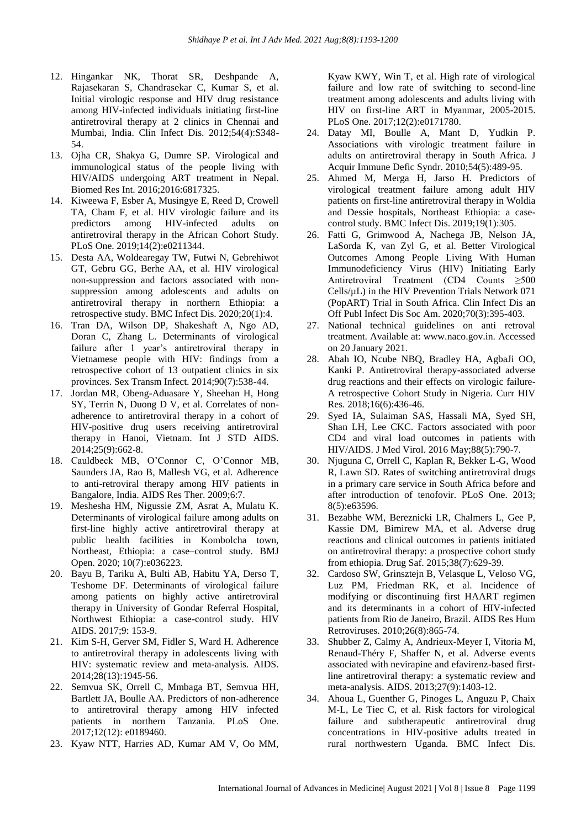- 12. Hingankar NK, Thorat SR, Deshpande A, Rajasekaran S, Chandrasekar C, Kumar S, et al. Initial virologic response and HIV drug resistance among HIV-infected individuals initiating first-line antiretroviral therapy at 2 clinics in Chennai and Mumbai, India. Clin Infect Dis. 2012;54(4):S348- 54.
- 13. Ojha CR, Shakya G, Dumre SP. Virological and immunological status of the people living with HIV/AIDS undergoing ART treatment in Nepal. Biomed Res Int. 2016;2016:6817325.
- 14. Kiweewa F, Esber A, Musingye E, Reed D, Crowell TA, Cham F, et al. HIV virologic failure and its predictors among HIV-infected adults on antiretroviral therapy in the African Cohort Study. PLoS One. 2019;14(2):e0211344.
- 15. Desta AA, Woldearegay TW, Futwi N, Gebrehiwot GT, Gebru GG, Berhe AA, et al. HIV virological non-suppression and factors associated with nonsuppression among adolescents and adults on antiretroviral therapy in northern Ethiopia: a retrospective study. BMC Infect Dis. 2020;20(1):4.
- 16. Tran DA, Wilson DP, Shakeshaft A, Ngo AD, Doran C, Zhang L. Determinants of virological failure after 1 year's antiretroviral therapy in Vietnamese people with HIV: findings from a retrospective cohort of 13 outpatient clinics in six provinces. Sex Transm Infect. 2014;90(7):538-44.
- 17. Jordan MR, Obeng-Aduasare Y, Sheehan H, Hong SY, Terrin N, Duong D V, et al. Correlates of nonadherence to antiretroviral therapy in a cohort of HIV-positive drug users receiving antiretroviral therapy in Hanoi, Vietnam. Int J STD AIDS. 2014;25(9):662-8.
- 18. Cauldbeck MB, O'Connor C, O'Connor MB, Saunders JA, Rao B, Mallesh VG, et al. Adherence to anti-retroviral therapy among HIV patients in Bangalore, India. AIDS Res Ther. 2009;6:7.
- 19. Meshesha HM, Nigussie ZM, Asrat A, Mulatu K. Determinants of virological failure among adults on first-line highly active antiretroviral therapy at public health facilities in Kombolcha town, Northeast, Ethiopia: a case–control study. BMJ Open. 2020; 10(7):e036223.
- 20. Bayu B, Tariku A, Bulti AB, Habitu YA, Derso T, Teshome DF. Determinants of virological failure among patients on highly active antiretroviral therapy in University of Gondar Referral Hospital, Northwest Ethiopia: a case-control study. HIV AIDS. 2017;9: 153-9.
- 21. Kim S-H, Gerver SM, Fidler S, Ward H. Adherence to antiretroviral therapy in adolescents living with HIV: systematic review and meta-analysis. AIDS. 2014;28(13):1945-56.
- 22. Semvua SK, Orrell C, Mmbaga BT, Semvua HH, Bartlett JA, Boulle AA. Predictors of non-adherence to antiretroviral therapy among HIV infected patients in northern Tanzania. PLoS One. 2017;12(12): e0189460.
- 23. Kyaw NTT, Harries AD, Kumar AM V, Oo MM,

Kyaw KWY, Win T, et al. High rate of virological failure and low rate of switching to second-line treatment among adolescents and adults living with HIV on first-line ART in Myanmar, 2005-2015. PLoS One. 2017;12(2):e0171780.

- 24. Datay MI, Boulle A, Mant D, Yudkin P. Associations with virologic treatment failure in adults on antiretroviral therapy in South Africa. J Acquir Immune Defic Syndr. 2010;54(5):489-95.
- 25. Ahmed M, Merga H, Jarso H. Predictors of virological treatment failure among adult HIV patients on first-line antiretroviral therapy in Woldia and Dessie hospitals, Northeast Ethiopia: a casecontrol study. BMC Infect Dis. 2019;19(1):305.
- 26. Fatti G, Grimwood A, Nachega JB, Nelson JA, LaSorda K, van Zyl G, et al. Better Virological Outcomes Among People Living With Human Immunodeficiency Virus (HIV) Initiating Early Antiretroviral Treatment (CD4 Counts ≥500 Cells/µL) in the HIV Prevention Trials Network 071 (PopART) Trial in South Africa. Clin Infect Dis an Off Publ Infect Dis Soc Am. 2020;70(3):395-403.
- 27. National technical guidelines on anti retroval treatment. Available at: www.naco.gov.in. Accessed on 20 January 2021.
- 28. Abah IO, Ncube NBQ, Bradley HA, AgbaJi OO, Kanki P. Antiretroviral therapy-associated adverse drug reactions and their effects on virologic failure-A retrospective Cohort Study in Nigeria. Curr HIV Res. 2018;16(6):436-46.
- 29. Syed IA, Sulaiman SAS, Hassali MA, Syed SH, Shan LH, Lee CKC. Factors associated with poor CD4 and viral load outcomes in patients with HIV/AIDS. J Med Virol. 2016 May;88(5):790-7.
- 30. Njuguna C, Orrell C, Kaplan R, Bekker L-G, Wood R, Lawn SD. Rates of switching antiretroviral drugs in a primary care service in South Africa before and after introduction of tenofovir. PLoS One. 2013; 8(5):e63596.
- 31. Bezabhe WM, Bereznicki LR, Chalmers L, Gee P, Kassie DM, Bimirew MA, et al. Adverse drug reactions and clinical outcomes in patients initiated on antiretroviral therapy: a prospective cohort study from ethiopia. Drug Saf. 2015;38(7):629-39.
- 32. Cardoso SW, Grinsztejn B, Velasque L, Veloso VG, Luz PM, Friedman RK, et al. Incidence of modifying or discontinuing first HAART regimen and its determinants in a cohort of HIV-infected patients from Rio de Janeiro, Brazil. AIDS Res Hum Retroviruses. 2010;26(8):865-74.
- 33. Shubber Z, Calmy A, Andrieux-Meyer I, Vitoria M, Renaud-Théry F, Shaffer N, et al. Adverse events associated with nevirapine and efavirenz-based firstline antiretroviral therapy: a systematic review and meta-analysis. AIDS. 2013;27(9):1403-12.
- 34. Ahoua L, Guenther G, Pinoges L, Anguzu P, Chaix M-L, Le Tiec C, et al. Risk factors for virological failure and subtherapeutic antiretroviral drug concentrations in HIV-positive adults treated in rural northwestern Uganda. BMC Infect Dis.